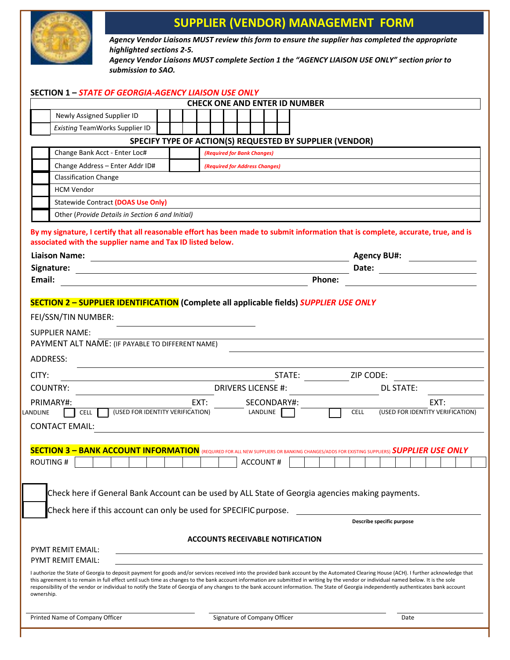

## **SUPPLIER (VENDOR) MANAGEMENT FORM**

*Agency Vendor Liaisons MUST review this form to ensure the supplier has completed the appropriate highlighted sections 2-5.*

*Agency Vendor Liaisons MUST complete Section 1 the "AGENCY LIAISON USE ONLY" section prior to submission to SAO.*

|                   | <b>SECTION 1 - STATE OF GEORGIA-AGENCY LIAISON USE ONLY</b>                                                                                                                                                                                                                                                                                                                                                                                                                                                                                                                                       |  |      |  |                                                      |        |                                         |        |                                                             |                           |                  |                                  |      |  |
|-------------------|---------------------------------------------------------------------------------------------------------------------------------------------------------------------------------------------------------------------------------------------------------------------------------------------------------------------------------------------------------------------------------------------------------------------------------------------------------------------------------------------------------------------------------------------------------------------------------------------------|--|------|--|------------------------------------------------------|--------|-----------------------------------------|--------|-------------------------------------------------------------|---------------------------|------------------|----------------------------------|------|--|
|                   |                                                                                                                                                                                                                                                                                                                                                                                                                                                                                                                                                                                                   |  |      |  |                                                      |        | <b>CHECK ONE AND ENTER ID NUMBER</b>    |        |                                                             |                           |                  |                                  |      |  |
|                   | Newly Assigned Supplier ID                                                                                                                                                                                                                                                                                                                                                                                                                                                                                                                                                                        |  |      |  |                                                      |        |                                         |        |                                                             |                           |                  |                                  |      |  |
|                   | <b>Existing TeamWorks Supplier ID</b>                                                                                                                                                                                                                                                                                                                                                                                                                                                                                                                                                             |  |      |  |                                                      |        |                                         |        |                                                             |                           |                  |                                  |      |  |
|                   |                                                                                                                                                                                                                                                                                                                                                                                                                                                                                                                                                                                                   |  |      |  |                                                      |        |                                         |        | SPECIFY TYPE OF ACTION(S) REQUESTED BY SUPPLIER (VENDOR)    |                           |                  |                                  |      |  |
|                   | Change Bank Acct - Enter Loc#                                                                                                                                                                                                                                                                                                                                                                                                                                                                                                                                                                     |  |      |  | (Required for Bank Changes)                          |        |                                         |        |                                                             |                           |                  |                                  |      |  |
|                   | Change Address - Enter Addr ID#                                                                                                                                                                                                                                                                                                                                                                                                                                                                                                                                                                   |  |      |  | (Required for Address Changes)                       |        |                                         |        |                                                             |                           |                  |                                  |      |  |
|                   | <b>Classification Change</b><br><b>HCM Vendor</b>                                                                                                                                                                                                                                                                                                                                                                                                                                                                                                                                                 |  |      |  |                                                      |        |                                         |        |                                                             |                           |                  |                                  |      |  |
|                   | <b>Statewide Contract (DOAS Use Only)</b>                                                                                                                                                                                                                                                                                                                                                                                                                                                                                                                                                         |  |      |  |                                                      |        |                                         |        |                                                             |                           |                  |                                  |      |  |
|                   | Other (Provide Details in Section 6 and Initial)                                                                                                                                                                                                                                                                                                                                                                                                                                                                                                                                                  |  |      |  |                                                      |        |                                         |        |                                                             |                           |                  |                                  |      |  |
|                   | By my signature, I certify that all reasonable effort has been made to submit information that is complete, accurate, true, and is<br>associated with the supplier name and Tax ID listed below.<br><b>Liaison Name:</b><br><u> 1989 - Andrea Andrew Maria (b. 1989)</u>                                                                                                                                                                                                                                                                                                                          |  |      |  |                                                      |        |                                         |        |                                                             | <b>Agency BU#:</b>        |                  |                                  |      |  |
|                   | Signature:<br><u> 1989 - Johann Harry Barn, mars ar breist fan de Amerikaansk kommunent fan de Amerikaansk kommunent fan de Am</u>                                                                                                                                                                                                                                                                                                                                                                                                                                                                |  |      |  |                                                      |        |                                         |        | Date:                                                       |                           |                  |                                  |      |  |
| Email:            |                                                                                                                                                                                                                                                                                                                                                                                                                                                                                                                                                                                                   |  |      |  |                                                      |        |                                         | Phone: |                                                             |                           |                  |                                  |      |  |
| CITY:<br>LANDLINE | <b>SUPPLIER NAME:</b><br>PAYMENT ALT NAME: (IF PAYABLE TO DIFFERENT NAME)<br>ADDRESS:<br><b>COUNTRY:</b><br>PRIMARY#:<br>(USED FOR IDENTITY VERIFICATION)<br><b>CELL</b><br><b>CONTACT EMAIL:</b>                                                                                                                                                                                                                                                                                                                                                                                                 |  | EXT: |  | <b>DRIVERS LICENSE #:</b><br>SECONDARY#:<br>LANDLINE | STATE: |                                         |        | <b>CELL</b>                                                 | ZIP CODE:                 | <b>DL STATE:</b> | (USED FOR IDENTITY VERIFICATION) | EXT: |  |
|                   | <b>SECTION 3 - BANK ACCOUNT INFORMATION</b> (REQUIRED FOR ALL NEW SUPPLIERS OR BANKING CHANGES/ADDS FOR EXISTING SUPPLIERS) SUPPLIER USE ONLY<br><b>ROUTING#</b>                                                                                                                                                                                                                                                                                                                                                                                                                                  |  |      |  |                                                      |        |                                         |        | $\frac{1}{2}$ account # $\boxed{1}$ $\boxed{1}$ $\boxed{1}$ |                           |                  |                                  |      |  |
|                   | Check here if General Bank Account can be used by ALL State of Georgia agencies making payments.<br>Check here if this account can only be used for SPECIFIC purpose.                                                                                                                                                                                                                                                                                                                                                                                                                             |  |      |  |                                                      |        |                                         |        |                                                             | Describe specific purpose |                  |                                  |      |  |
|                   |                                                                                                                                                                                                                                                                                                                                                                                                                                                                                                                                                                                                   |  |      |  |                                                      |        | <b>ACCOUNTS RECEIVABLE NOTIFICATION</b> |        |                                                             |                           |                  |                                  |      |  |
|                   | <b>PYMT REMIT EMAIL:</b>                                                                                                                                                                                                                                                                                                                                                                                                                                                                                                                                                                          |  |      |  |                                                      |        |                                         |        |                                                             |                           |                  |                                  |      |  |
| ownership.        | PYMT REMIT EMAIL:<br>I authorize the State of Georgia to deposit payment for goods and/or services received into the provided bank account by the Automated Clearing House (ACH). I further acknowledge that<br>this agreement is to remain in full effect until such time as changes to the bank account information are submitted in writing by the vendor or individual named below. It is the sole<br>responsibility of the vendor or individual to notify the State of Georgia of any changes to the bank account information. The State of Georgia independently authenticates bank account |  |      |  |                                                      |        |                                         |        |                                                             |                           |                  |                                  |      |  |
|                   | Printed Name of Company Officer                                                                                                                                                                                                                                                                                                                                                                                                                                                                                                                                                                   |  |      |  | Signature of Company Officer                         |        |                                         |        |                                                             |                           | Date             |                                  |      |  |